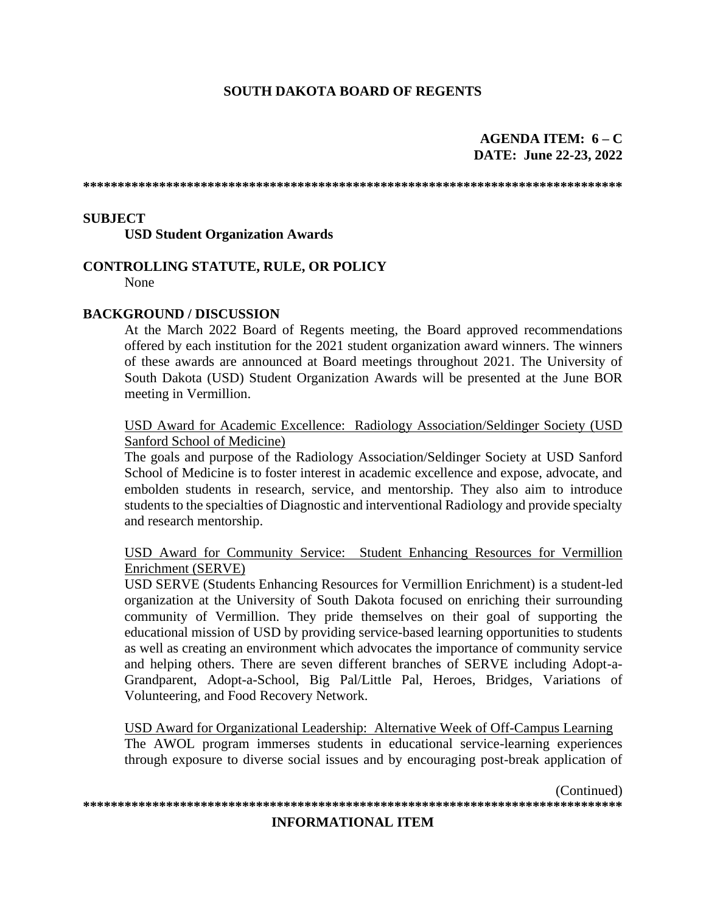# **SOUTH DAKOTA BOARD OF REGENTS**

### AGENDA ITEM:  $6 - C$ **DATE: June 22-23, 2022**

### **SUBJECT**

**USD Student Organization Awards** 

### **CONTROLLING STATUTE, RULE, OR POLICY**

None

#### **BACKGROUND / DISCUSSION**

At the March 2022 Board of Regents meeting, the Board approved recommendations offered by each institution for the 2021 student organization award winners. The winners of these awards are announced at Board meetings throughout 2021. The University of South Dakota (USD) Student Organization Awards will be presented at the June BOR meeting in Vermillion.

USD Award for Academic Excellence: Radiology Association/Seldinger Society (USD) Sanford School of Medicine)

The goals and purpose of the Radiology Association/Seldinger Society at USD Sanford School of Medicine is to foster interest in academic excellence and expose, advocate, and embolden students in research, service, and mentorship. They also aim to introduce students to the specialties of Diagnostic and interventional Radiology and provide specialty and research mentorship.

USD Award for Community Service: Student Enhancing Resources for Vermillion Enrichment (SERVE)

USD SERVE (Students Enhancing Resources for Vermillion Enrichment) is a student-led organization at the University of South Dakota focused on enriching their surrounding community of Vermillion. They pride themselves on their goal of supporting the educational mission of USD by providing service-based learning opportunities to students as well as creating an environment which advocates the importance of community service and helping others. There are seven different branches of SERVE including Adopt-a-Grandparent, Adopt-a-School, Big Pal/Little Pal, Heroes, Bridges, Variations of Volunteering, and Food Recovery Network.

USD Award for Organizational Leadership: Alternative Week of Off-Campus Learning The AWOL program immerses students in educational service-learning experiences through exposure to diverse social issues and by encouraging post-break application of

(Continued) 

#### **INFORMATIONAL ITEM**